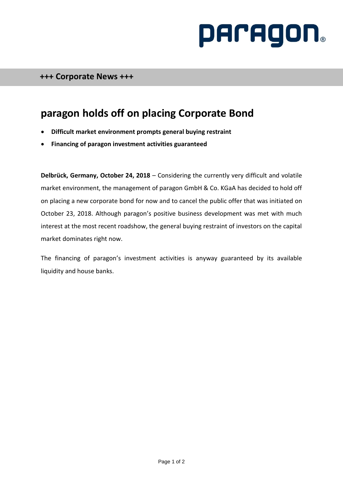# **PACAGON**

## **paragon holds off on placing Corporate Bond**

- **Difficult market environment prompts general buying restraint**
- **Financing of paragon investment activities guaranteed**

**Delbrück, Germany, October 24, 2018** – Considering the currently very difficult and volatile market environment, the management of paragon GmbH & Co. KGaA has decided to hold off on placing a new corporate bond for now and to cancel the public offer that was initiated on October 23, 2018. Although paragon's positive business development was met with much interest at the most recent roadshow, the general buying restraint of investors on the capital market dominates right now.

The financing of paragon's investment activities is anyway guaranteed by its available liquidity and house banks.